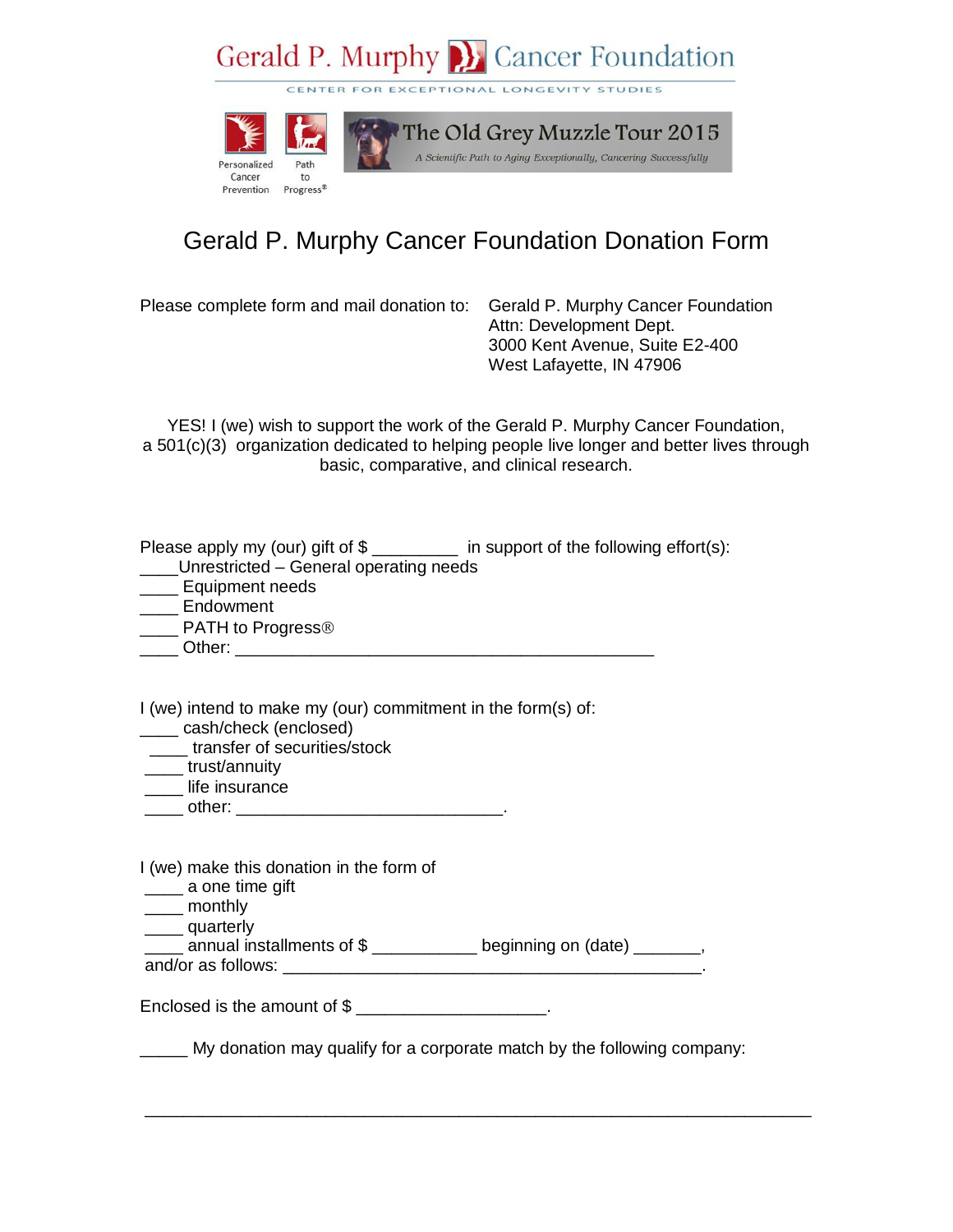## Gerald P. Murphy B. Cancer Foundation

CENTER FOR EXCEPTIONAL LONGEVITY STUDIES



## Gerald P. Murphy Cancer Foundation Donation Form

Please complete form and mail donation to: Gerald P. Murphy Cancer Foundation

Attn: Development Dept. 3000 Kent Avenue, Suite E2-400 West Lafayette, IN 47906

YES! I (we) wish to support the work of the Gerald P. Murphy Cancer Foundation, a 501(c)(3) organization dedicated to helping people live longer and better lives through basic, comparative, and clinical research.

Please apply my (our) gift of  $\frac{2}{2}$  \_\_\_\_\_\_\_\_ in support of the following effort(s):

- \_\_\_\_Unrestricted General operating needs
- **\_\_\_\_\_** Equipment needs
- \_\_\_\_ Endowment
- PATH to Progress<sup>®</sup>
- \_\_\_\_ Other: \_\_\_\_\_\_\_\_\_\_\_\_\_\_\_\_

I (we) intend to make my (our) commitment in the form(s) of:

- \_\_\_\_ cash/check (enclosed)
- \_\_\_\_ transfer of securities/stock
- \_\_\_\_ trust/annuity
- \_\_\_\_ life insurance
- $other:$

I (we) make this donation in the form of

- \_\_\_\_ a one time gift
- \_\_\_\_ monthly
- quarterly

\_\_\_\_ annual installments of \$ \_\_\_\_\_\_\_\_\_\_\_ beginning on (date) \_\_\_\_\_\_\_, and/or as follows: \_\_\_\_\_\_\_\_\_\_\_\_\_\_\_\_\_\_\_\_\_\_\_\_\_\_\_\_\_\_\_\_\_\_\_\_\_\_\_\_\_\_\_\_.

Enclosed is the amount of  $\frac{1}{2}$  \_\_\_\_\_\_\_\_\_\_\_\_\_\_\_\_\_\_\_\_\_.

My donation may qualify for a corporate match by the following company:

\_\_\_\_\_\_\_\_\_\_\_\_\_\_\_\_\_\_\_\_\_\_\_\_\_\_\_\_\_\_\_\_\_\_\_\_\_\_\_\_\_\_\_\_\_\_\_\_\_\_\_\_\_\_\_\_\_\_\_\_\_\_\_\_\_\_\_\_\_\_